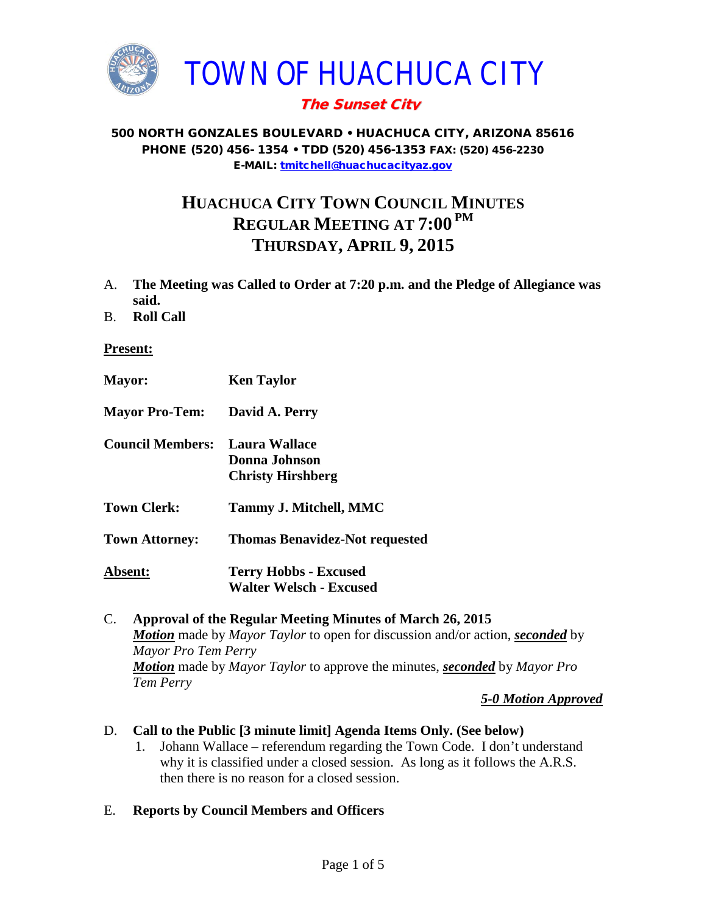

# The Sunset City

#### 500 NORTH GONZALES BOULEVARD • HUACHUCA CITY, ARIZONA 85616 PHONE (520) 456- 1354 • TDD (520) 456-1353 FAX: (520) 456-2230 E-MAIL: [tmitchell@huachucacityaz.gov](mailto:tmitchell@huachucacityaz.gov)

# **HUACHUCA CITY TOWN COUNCIL MINUTES REGULAR MEETING AT 7:00 PM THURSDAY, APRIL 9, 2015**

- A. **The Meeting was Called to Order at 7:20 p.m. and the Pledge of Allegiance was said.**
- B. **Roll Call**

#### **Present:**

| <b>Mayor:</b>           | <b>Ken Taylor</b>                                              |
|-------------------------|----------------------------------------------------------------|
| <b>Mayor Pro-Tem:</b>   | David A. Perry                                                 |
| <b>Council Members:</b> | Laura Wallace<br>Donna Johnson<br><b>Christy Hirshberg</b>     |
| <b>Town Clerk:</b>      | <b>Tammy J. Mitchell, MMC</b>                                  |
| <b>Town Attorney:</b>   | <b>Thomas Benavidez-Not requested</b>                          |
| Absent:                 | <b>Terry Hobbs - Excused</b><br><b>Walter Welsch - Excused</b> |

### C. **Approval of the Regular Meeting Minutes of March 26, 2015** *Motion* made by *Mayor Taylor* to open for discussion and/or action, *seconded* by *Mayor Pro Tem Perry Motion* made by *Mayor Taylor* to approve the minutes, *seconded* by *Mayor Pro Tem Perry*

*5-0 Motion Approved*

#### D. **Call to the Public [3 minute limit] Agenda Items Only. (See below)**

1. Johann Wallace – referendum regarding the Town Code. I don't understand why it is classified under a closed session. As long as it follows the A.R.S. then there is no reason for a closed session.

#### E. **Reports by Council Members and Officers**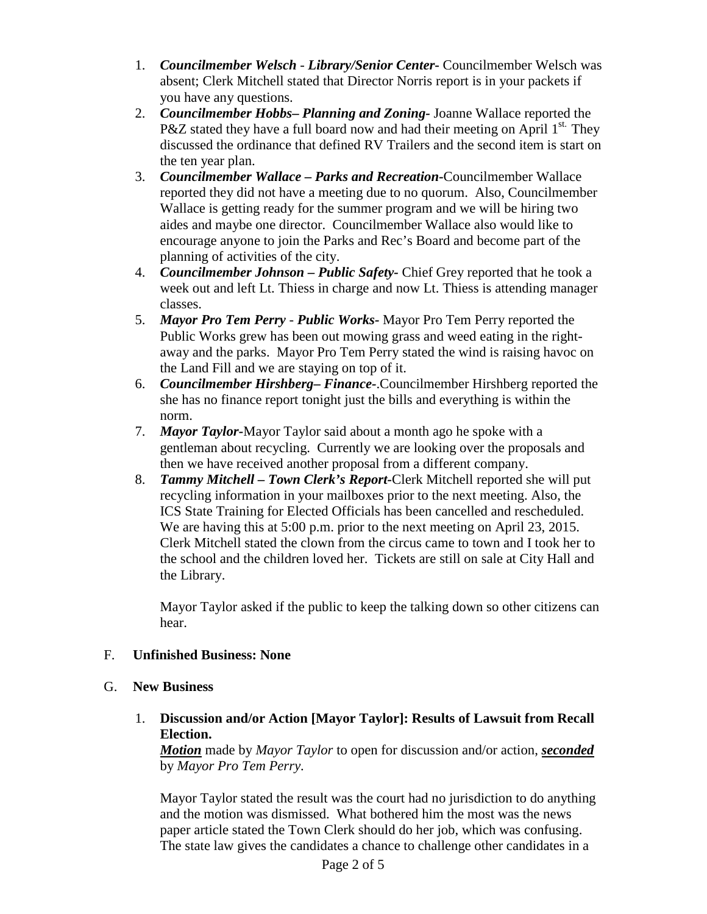- 1. *Councilmember Welsch - Library/Senior Center***-** Councilmember Welsch was absent; Clerk Mitchell stated that Director Norris report is in your packets if you have any questions.
- 2. *Councilmember Hobbs***–** *Planning and Zoning-* Joanne Wallace reported the P&Z stated they have a full board now and had their meeting on April  $1^{st.}$  They discussed the ordinance that defined RV Trailers and the second item is start on the ten year plan.
- 3. *Councilmember Wallace* **–** *Parks and Recreation***-**Councilmember Wallace reported they did not have a meeting due to no quorum. Also, Councilmember Wallace is getting ready for the summer program and we will be hiring two aides and maybe one director. Councilmember Wallace also would like to encourage anyone to join the Parks and Rec's Board and become part of the planning of activities of the city.
- 4. *Councilmember Johnson – Public Safety-* Chief Grey reported that he took a week out and left Lt. Thiess in charge and now Lt. Thiess is attending manager classes.
- 5. *Mayor Pro Tem Perry Public Works-* Mayor Pro Tem Perry reported the Public Works grew has been out mowing grass and weed eating in the rightaway and the parks. Mayor Pro Tem Perry stated the wind is raising havoc on the Land Fill and we are staying on top of it.
- 6. *Councilmember Hirshberg***–** *Finance-*.Councilmember Hirshberg reported the she has no finance report tonight just the bills and everything is within the norm.
- 7. *Mayor Taylor-*Mayor Taylor said about a month ago he spoke with a gentleman about recycling. Currently we are looking over the proposals and then we have received another proposal from a different company.
- 8. *Tammy Mitchell – Town Clerk's Report-*Clerk Mitchell reported she will put recycling information in your mailboxes prior to the next meeting. Also, the ICS State Training for Elected Officials has been cancelled and rescheduled. We are having this at 5:00 p.m. prior to the next meeting on April 23, 2015. Clerk Mitchell stated the clown from the circus came to town and I took her to the school and the children loved her. Tickets are still on sale at City Hall and the Library.

Mayor Taylor asked if the public to keep the talking down so other citizens can hear.

# F. **Unfinished Business: None**

#### G. **New Business**

1. **Discussion and/or Action [Mayor Taylor]: Results of Lawsuit from Recall Election.**

*Motion* made by *Mayor Taylor* to open for discussion and/or action, *seconded* by *Mayor Pro Tem Perry.*

Mayor Taylor stated the result was the court had no jurisdiction to do anything and the motion was dismissed. What bothered him the most was the news paper article stated the Town Clerk should do her job, which was confusing. The state law gives the candidates a chance to challenge other candidates in a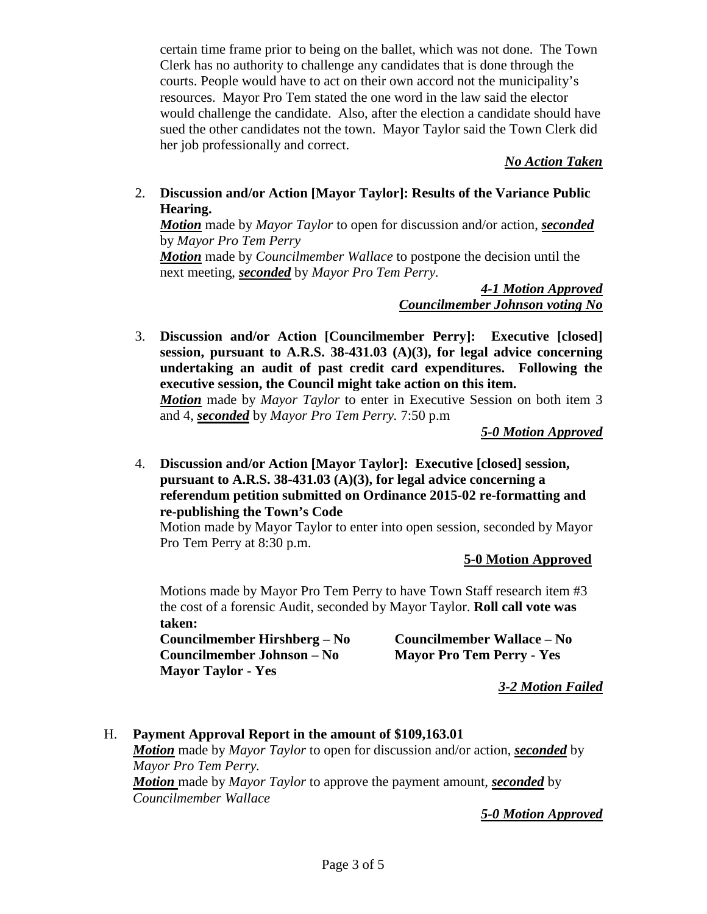certain time frame prior to being on the ballet, which was not done. The Town Clerk has no authority to challenge any candidates that is done through the courts. People would have to act on their own accord not the municipality's resources. Mayor Pro Tem stated the one word in the law said the elector would challenge the candidate. Also, after the election a candidate should have sued the other candidates not the town. Mayor Taylor said the Town Clerk did her job professionally and correct.

*No Action Taken*

2. **Discussion and/or Action [Mayor Taylor]: Results of the Variance Public Hearing.**

*Motion* made by *Mayor Taylor* to open for discussion and/or action, *seconded* by *Mayor Pro Tem Perry Motion* made by *Councilmember Wallace* to postpone the decision until the

next meeting, *seconded* by *Mayor Pro Tem Perry.*

*4-1 Motion Approved Councilmember Johnson voting No*

3. **Discussion and/or Action [Councilmember Perry]: Executive [closed] session, pursuant to A.R.S. 38-431.03 (A)(3), for legal advice concerning undertaking an audit of past credit card expenditures. Following the executive session, the Council might take action on this item.**

*Motion* made by *Mayor Taylor* to enter in Executive Session on both item 3 and 4, *seconded* by *Mayor Pro Tem Perry.* 7:50 p.m

*5-0 Motion Approved*

4. **Discussion and/or Action [Mayor Taylor]: Executive [closed] session, pursuant to A.R.S. 38-431.03 (A)(3), for legal advice concerning a referendum petition submitted on Ordinance 2015-02 re-formatting and re-publishing the Town's Code**

Motion made by Mayor Taylor to enter into open session, seconded by Mayor Pro Tem Perry at 8:30 p.m.

 **5-0 Motion Approved**

Motions made by Mayor Pro Tem Perry to have Town Staff research item #3 the cost of a forensic Audit, seconded by Mayor Taylor. **Roll call vote was taken:**

**Councilmember Hirshberg – No Councilmember Wallace – No Councilmember Johnson – No Mayor Pro Tem Perry - Yes Mayor Taylor - Yes**

*3-2 Motion Failed*

H. **Payment Approval Report in the amount of \$109,163.01** *Motion* made by *Mayor Taylor* to open for discussion and/or action, *seconded* by

*Mayor Pro Tem Perry. Motion* made by *Mayor Taylor* to approve the payment amount, *seconded* by

*Councilmember Wallace*

*5-0 Motion Approved*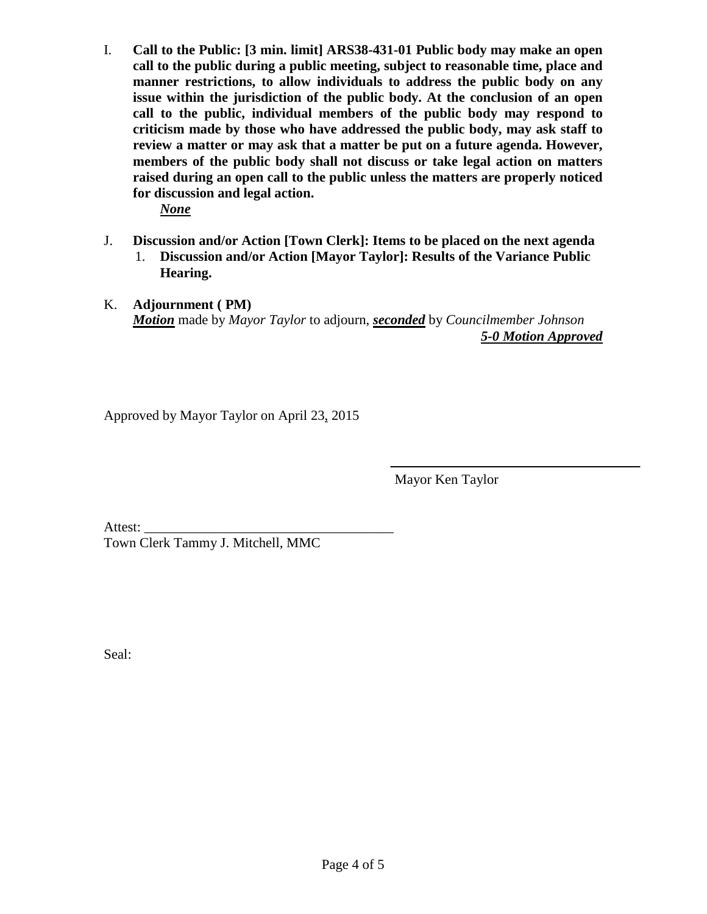I. **Call to the Public: [3 min. limit] ARS38-431-01 Public body may make an open call to the public during a public meeting, subject to reasonable time, place and manner restrictions, to allow individuals to address the public body on any issue within the jurisdiction of the public body. At the conclusion of an open call to the public, individual members of the public body may respond to criticism made by those who have addressed the public body, may ask staff to review a matter or may ask that a matter be put on a future agenda. However, members of the public body shall not discuss or take legal action on matters raised during an open call to the public unless the matters are properly noticed for discussion and legal action.**

*None*

- J. **Discussion and/or Action [Town Clerk]: Items to be placed on the next agenda** 1. **Discussion and/or Action [Mayor Taylor]: Results of the Variance Public Hearing.**
- K. **Adjournment ( PM)** *Motion* made by *Mayor Taylor* to adjourn, *seconded* by *Councilmember Johnson*

*5-0 Motion Approved*

Approved by Mayor Taylor on April 23, 2015

Mayor Ken Taylor

Attest: Town Clerk Tammy J. Mitchell, MMC

Seal: